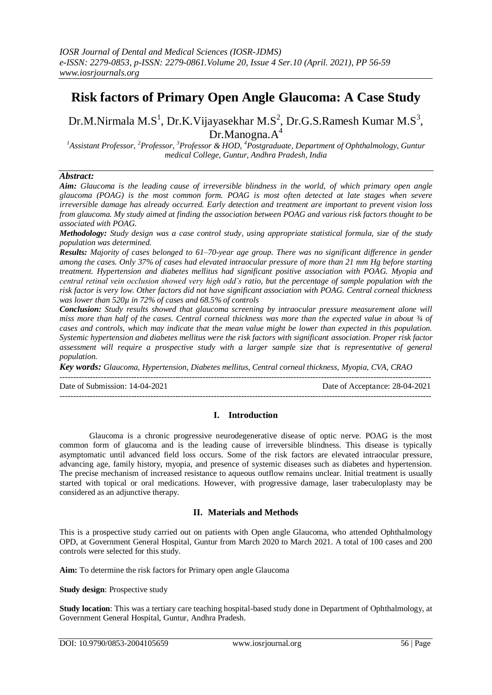# **Risk factors of Primary Open Angle Glaucoma: A Case Study**

Dr.M.Nirmala M.S<sup>1</sup>, Dr.K.Vijayasekhar M.S<sup>2</sup>, Dr.G.S.Ramesh Kumar M.S<sup>3</sup>,  $Dr.Manogna.A<sup>4</sup>$ 

*<sup>1</sup>Assistant Professor, <sup>2</sup>Professor, <sup>3</sup>Professor & HOD, <sup>4</sup>Postgraduate, Department of Ophthalmology, Guntur medical College, Guntur, Andhra Pradesh, India*

# *Abstract:*

*Aim: Glaucoma is the leading cause of irreversible blindness in the world, of which primary open angle glaucoma (POAG) is the most common form. POAG is most often detected at late stages when severe irreversible damage has already occurred. Early detection and treatment are important to prevent vision loss from glaucoma. My study aimed at finding the association between POAG and various risk factors thought to be associated with POAG.*

*Methodology: Study design was a case control study, using appropriate statistical formula, size of the study population was determined.*

*Results: Majority of cases belonged to 61–70-year age group. There was no significant difference in gender among the cases. Only 37% of cases had elevated intraocular pressure of more than 21 mm Hg before starting treatment. Hypertension and diabetes mellitus had significant positive association with POAG. Myopia and central retinal vein occlusion showed very high odd's ratio, but the percentage of sample population with the risk factor is very low. Other factors did not have significant association with POAG. Central corneal thickness was lower than 520µ in 72% of cases and 68.5% of controls*

*Conclusion: Study results showed that glaucoma screening by intraocular pressure measurement alone will miss more than half of the cases. Central corneal thickness was more than the expected value in about ¾ of cases and controls, which may indicate that the mean value might be lower than expected in this population. Systemic hypertension and diabetes mellitus were the risk factors with significant association. Proper risk factor assessment will require a prospective study with a larger sample size that is representative of general population.*

*Key words: Glaucoma, Hypertension, Diabetes mellitus, Central corneal thickness, Myopia, CVA, CRAO*

Date of Submission: 14-04-2021 Date of Acceptance: 28-04-2021 ---------------------------------------------------------------------------------------------------------------------------------------

---------------------------------------------------------------------------------------------------------------------------------------

# **I. Introduction**

Glaucoma is a chronic progressive neurodegenerative disease of optic nerve. POAG is the most common form of glaucoma and is the leading cause of irreversible blindness. This disease is typically asymptomatic until advanced field loss occurs. Some of the risk factors are elevated intraocular pressure, advancing age, family history, myopia, and presence of systemic diseases such as diabetes and hypertension. The precise mechanism of increased resistance to aqueous outflow remains unclear. Initial treatment is usually started with topical or oral medications. However, with progressive damage, laser trabeculoplasty may be considered as an adjunctive therapy.

# **II. Materials and Methods**

This is a prospective study carried out on patients with Open angle Glaucoma, who attended Ophthalmology OPD, at Government General Hospital, Guntur from March 2020 to March 2021. A total of 100 cases and 200 controls were selected for this study.

**Aim:** To determine the risk factors for Primary open angle Glaucoma

**Study design**: Prospective study

**Study location**: This was a tertiary care teaching hospital-based study done in Department of Ophthalmology, at Government General Hospital, Guntur, Andhra Pradesh.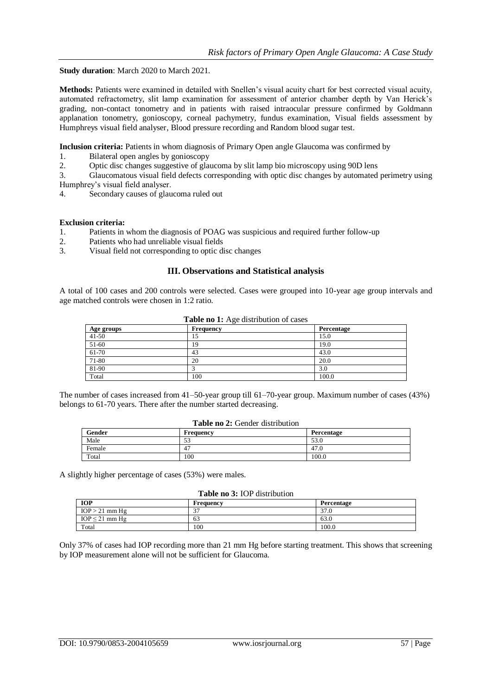**Study duration**: March 2020 to March 2021.

**Methods:** Patients were examined in detailed with Snellen's visual acuity chart for best corrected visual acuity, automated refractometry, slit lamp examination for assessment of anterior chamber depth by Van Herick's grading, non-contact tonometry and in patients with raised intraocular pressure confirmed by Goldmann applanation tonometry, gonioscopy, corneal pachymetry, fundus examination, Visual fields assessment by Humphreys visual field analyser, Blood pressure recording and Random blood sugar test.

**Inclusion criteria:** Patients in whom diagnosis of Primary Open angle Glaucoma was confirmed by

- 1. Bilateral open angles by gonioscopy
- 2. Optic disc changes suggestive of glaucoma by slit lamp bio microscopy using 90D lens

3. Glaucomatous visual field defects corresponding with optic disc changes by automated perimetry using Humphrey's visual field analyser.

4. Secondary causes of glaucoma ruled out

#### **Exclusion criteria:**

- 1. Patients in whom the diagnosis of POAG was suspicious and required further follow-up
- 2. Patients who had unreliable visual fields
- 3. Visual field not corresponding to optic disc changes

# **III. Observations and Statistical analysis**

A total of 100 cases and 200 controls were selected. Cases were grouped into 10-year age group intervals and age matched controls were chosen in 1:2 ratio.

| Age groups | Frequency | Percentage |
|------------|-----------|------------|
| $41 - 50$  | 10        | 15.0       |
| 51-60      | 19        | 19.0       |
| $61-70$    | 43        | 43.0       |
| 71-80      | 20        | 20.0       |
| 81-90      |           | 3.0        |
| Total      | 100       | 100.0      |

#### **Table no 1:** Age distribution of cases

The number of cases increased from 41–50-year group till 61–70-year group. Maximum number of cases (43%) belongs to 61-70 years. There after the number started decreasing.

| <b>Table no 2:</b> Gender distribution |  |
|----------------------------------------|--|
|----------------------------------------|--|

| Gender | Frequency                       | Percentage |
|--------|---------------------------------|------------|
| Male   | $\overline{\phantom{a}}$<br>ر ر | 53.0       |
| Female | 47                              | 47.0       |
| Total  | 100                             | 100.0      |

A slightly higher percentage of cases (53%) were males.

#### **Table no 3:** IOP distribution

| <b>IOP</b>          | Frequency     | Percentage |
|---------------------|---------------|------------|
| $IOP > 21$ mm Hg    | $\sim$<br>J., | 37.0       |
| $IOP \leq 21$ mm Hg | 63            | 63.0       |
| Total               | 100           | 100.0      |

Only 37% of cases had IOP recording more than 21 mm Hg before starting treatment. This shows that screening by IOP measurement alone will not be sufficient for Glaucoma.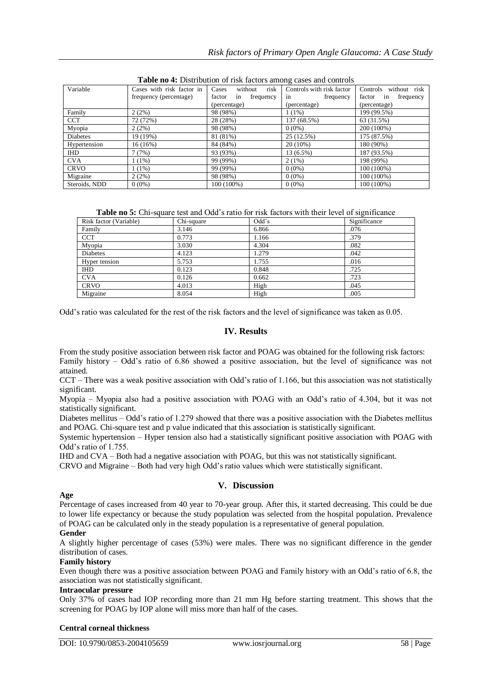| <b>Those Ho H</b> Dibitionton of their nectors among cases and controls |                                   |                     |                           |                       |
|-------------------------------------------------------------------------|-----------------------------------|---------------------|---------------------------|-----------------------|
| Variable                                                                | Cases with risk factor in   Cases | without risk        | Controls with risk factor | Controls without risk |
|                                                                         | frequency (percentage)            | factor in frequency | frequency<br>in           | factor in frequency   |
|                                                                         |                                   | (percentage)        | (percentage)              | (percentage)          |
| Family                                                                  | 2(2%)                             | 98 (98%)            | $1(1\%)$                  | 199 (99.5%)           |
| <b>CCT</b>                                                              | 72 (72%)                          | 28 (28%)            | 137 (68.5%)               | 63 (31.5%)            |
| Myopia                                                                  | 2(2%)                             | 98 (98%)            | $0(0\%)$                  | 200 (100%)            |
| Diabetes                                                                | 19 (19%)                          | 81 (81%)            | 25 (12.5%)                | 175 (87.5%)           |
| Hypertension                                                            | 16(16%)                           | 84 (84%)            | $20(10\%)$                | 180 (90%)             |
| IHD                                                                     | 7 (7%)                            | 93 (93%)            | 13 (6.5%)                 | 187 (93.5%)           |
| <b>CVA</b>                                                              | $(1\%)$                           | 99 (99%)            | 2(1%)                     | 198 (99%)             |
| <b>CRVO</b>                                                             | $(1\%)$                           | 99 (99%)            | $0(0\%)$                  | 100 (100%)            |
| Migraine                                                                | 2(2%)                             | 98 (98%)            | $0(0\%)$                  | 100 (100%)            |
| Steroids, NDD                                                           | $0(0\%)$                          | 100 (100%)          | $0(0\%)$                  | 100 (100%)            |

**Table no 4:** Distribution of risk factors among cases and controls

**Table no 5:** Chi-square test and Odd's ratio for risk factors with their level of significance

| Risk factor (Variable) | Chi-square | Odd's | Significance |
|------------------------|------------|-------|--------------|
| Family                 | 3.146      | 6.866 | .076         |
| <b>CCT</b>             | 0.773      | 1.166 | .379         |
| Myopia                 | 3.030      | 4.304 | .082         |
| <b>Diabetes</b>        | 4.123      | 1.279 | .042         |
| Hyper tension          | 5.753      | 1.755 | .016         |
| <b>IHD</b>             | 0.123      | 0.848 | .725         |
| <b>CVA</b>             | 0.126      | 0.662 | .723         |
| <b>CRVO</b>            | 4.013      | High  | .045         |
| Migraine               | 8.054      | High  | .005         |

Odd's ratio was calculated for the rest of the risk factors and the level of significance was taken as 0.05.

# **IV. Results**

From the study positive association between risk factor and POAG was obtained for the following risk factors: Family history – Odd's ratio of 6.86 showed a positive association, but the level of significance was not attained.

CCT – There was a weak positive association with Odd's ratio of 1.166, but this association was not statistically significant.

Myopia – Myopia also had a positive association with POAG with an Odd's ratio of 4.304, but it was not statistically significant.

Diabetes mellitus – Odd's ratio of 1.279 showed that there was a positive association with the Diabetes mellitus and POAG. Chi-square test and p value indicated that this association is statistically significant.

Systemic hypertension – Hyper tension also had a statistically significant positive association with POAG with Odd's ratio of 1.755.

IHD and CVA – Both had a negative association with POAG, but this was not statistically significant.

CRVO and Migraine – Both had very high Odd's ratio values which were statistically significant.

## **V. Discussion**

# **Age**

Percentage of cases increased from 40 year to 70-year group. After this, it started decreasing. This could be due to lower life expectancy or because the study population was selected from the hospital population. Prevalence of POAG can be calculated only in the steady population is a representative of general population.

## **Gender**

A slightly higher percentage of cases (53%) were males. There was no significant difference in the gender distribution of cases.

## **Family history**

Even though there was a positive association between POAG and Family history with an Odd's ratio of 6.8, the association was not statistically significant.

#### **Intraocular pressure**

Only 37% of cases had IOP recording more than 21 mm Hg before starting treatment. This shows that the screening for POAG by IOP alone will miss more than half of the cases.

#### **Central corneal thickness**

DOI: 10.9790/0853-2004105659 www.iosrjournal.org 58 | Page